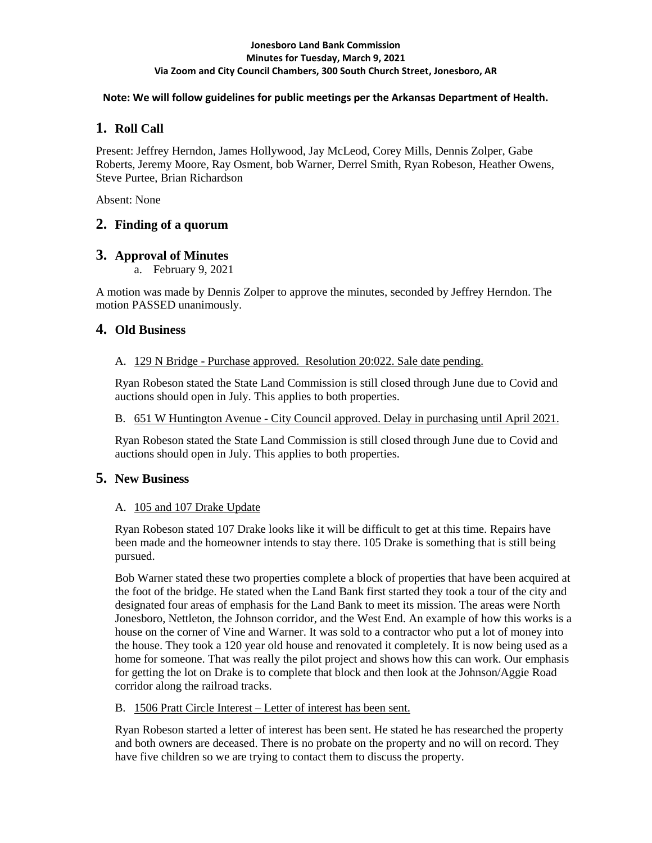#### **Jonesboro Land Bank Commission Minutes for Tuesday, March 9, 2021 Via Zoom and City Council Chambers, 300 South Church Street, Jonesboro, AR**

### **Note: We will follow guidelines for public meetings per the Arkansas Department of Health.**

# **1. Roll Call**

Present: Jeffrey Herndon, James Hollywood, Jay McLeod, Corey Mills, Dennis Zolper, Gabe Roberts, Jeremy Moore, Ray Osment, bob Warner, Derrel Smith, Ryan Robeson, Heather Owens, Steve Purtee, Brian Richardson

Absent: None

# **2. Finding of a quorum**

## **3. Approval of Minutes**

a. February 9, 2021

A motion was made by Dennis Zolper to approve the minutes, seconded by Jeffrey Herndon. The motion PASSED unanimously.

# **4. Old Business**

## A. 129 N Bridge - Purchase approved. Resolution 20:022. Sale date pending.

Ryan Robeson stated the State Land Commission is still closed through June due to Covid and auctions should open in July. This applies to both properties.

## B. 651 W Huntington Avenue - City Council approved. Delay in purchasing until April 2021.

Ryan Robeson stated the State Land Commission is still closed through June due to Covid and auctions should open in July. This applies to both properties.

## **5. New Business**

## A. 105 and 107 Drake Update

Ryan Robeson stated 107 Drake looks like it will be difficult to get at this time. Repairs have been made and the homeowner intends to stay there. 105 Drake is something that is still being pursued.

Bob Warner stated these two properties complete a block of properties that have been acquired at the foot of the bridge. He stated when the Land Bank first started they took a tour of the city and designated four areas of emphasis for the Land Bank to meet its mission. The areas were North Jonesboro, Nettleton, the Johnson corridor, and the West End. An example of how this works is a house on the corner of Vine and Warner. It was sold to a contractor who put a lot of money into the house. They took a 120 year old house and renovated it completely. It is now being used as a home for someone. That was really the pilot project and shows how this can work. Our emphasis for getting the lot on Drake is to complete that block and then look at the Johnson/Aggie Road corridor along the railroad tracks.

## B. 1506 Pratt Circle Interest – Letter of interest has been sent.

Ryan Robeson started a letter of interest has been sent. He stated he has researched the property and both owners are deceased. There is no probate on the property and no will on record. They have five children so we are trying to contact them to discuss the property.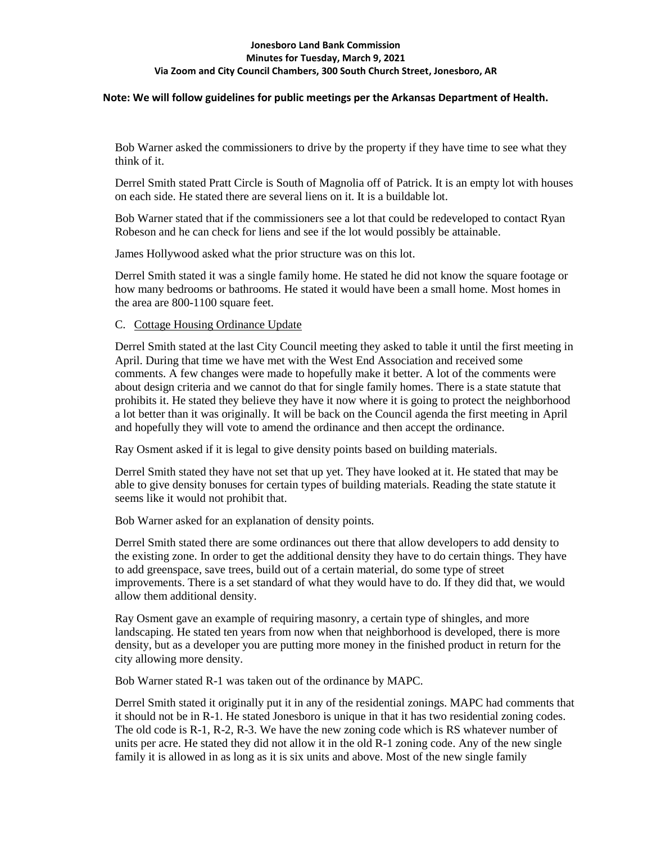#### **Jonesboro Land Bank Commission Minutes for Tuesday, March 9, 2021 Via Zoom and City Council Chambers, 300 South Church Street, Jonesboro, AR**

#### **Note: We will follow guidelines for public meetings per the Arkansas Department of Health.**

Bob Warner asked the commissioners to drive by the property if they have time to see what they think of it.

Derrel Smith stated Pratt Circle is South of Magnolia off of Patrick. It is an empty lot with houses on each side. He stated there are several liens on it. It is a buildable lot.

Bob Warner stated that if the commissioners see a lot that could be redeveloped to contact Ryan Robeson and he can check for liens and see if the lot would possibly be attainable.

James Hollywood asked what the prior structure was on this lot.

Derrel Smith stated it was a single family home. He stated he did not know the square footage or how many bedrooms or bathrooms. He stated it would have been a small home. Most homes in the area are 800-1100 square feet.

### C. Cottage Housing Ordinance Update

Derrel Smith stated at the last City Council meeting they asked to table it until the first meeting in April. During that time we have met with the West End Association and received some comments. A few changes were made to hopefully make it better. A lot of the comments were about design criteria and we cannot do that for single family homes. There is a state statute that prohibits it. He stated they believe they have it now where it is going to protect the neighborhood a lot better than it was originally. It will be back on the Council agenda the first meeting in April and hopefully they will vote to amend the ordinance and then accept the ordinance.

Ray Osment asked if it is legal to give density points based on building materials.

Derrel Smith stated they have not set that up yet. They have looked at it. He stated that may be able to give density bonuses for certain types of building materials. Reading the state statute it seems like it would not prohibit that.

Bob Warner asked for an explanation of density points.

Derrel Smith stated there are some ordinances out there that allow developers to add density to the existing zone. In order to get the additional density they have to do certain things. They have to add greenspace, save trees, build out of a certain material, do some type of street improvements. There is a set standard of what they would have to do. If they did that, we would allow them additional density.

Ray Osment gave an example of requiring masonry, a certain type of shingles, and more landscaping. He stated ten years from now when that neighborhood is developed, there is more density, but as a developer you are putting more money in the finished product in return for the city allowing more density.

Bob Warner stated R-1 was taken out of the ordinance by MAPC.

Derrel Smith stated it originally put it in any of the residential zonings. MAPC had comments that it should not be in R-1. He stated Jonesboro is unique in that it has two residential zoning codes. The old code is R-1, R-2, R-3. We have the new zoning code which is RS whatever number of units per acre. He stated they did not allow it in the old R-1 zoning code. Any of the new single family it is allowed in as long as it is six units and above. Most of the new single family